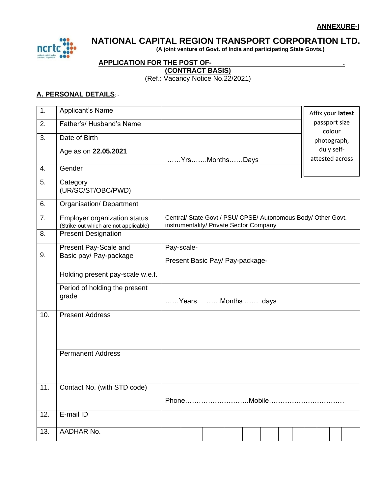

# **NATIONAL CAPITAL REGION TRANSPORT CORPORATION LTD.**

 **(A joint venture of Govt. of India and participating State Govts.)**

## **APPLICATION FOR THE POST OF- .**

**(CONTRACT BASIS)**

(Ref.: Vacancy Notice No.22/2021)

#### **A. PERSONAL DETAILS**: -

| 1.               | Applicant's Name                                                             |                                 |                                                                                                          |  |  |  |  |  |  |                         | Affix your latest |
|------------------|------------------------------------------------------------------------------|---------------------------------|----------------------------------------------------------------------------------------------------------|--|--|--|--|--|--|-------------------------|-------------------|
| 2.               | Father's/ Husband's Name                                                     |                                 |                                                                                                          |  |  |  |  |  |  | passport size<br>colour |                   |
| 3.               | Date of Birth                                                                |                                 |                                                                                                          |  |  |  |  |  |  | photograph,             |                   |
|                  | Age as on 22.05.2021                                                         |                                 |                                                                                                          |  |  |  |  |  |  | duly self-              |                   |
|                  |                                                                              |                                 | YrsMonthsDays                                                                                            |  |  |  |  |  |  |                         | attested across   |
| $\overline{4}$ . | Gender                                                                       |                                 |                                                                                                          |  |  |  |  |  |  |                         |                   |
| 5.               | Category<br>(UR/SC/ST/OBC/PWD)                                               |                                 |                                                                                                          |  |  |  |  |  |  |                         |                   |
| 6.               | Organisation/Department                                                      |                                 |                                                                                                          |  |  |  |  |  |  |                         |                   |
| 7.               | <b>Employer organization status</b><br>(Strike-out which are not applicable) |                                 | Central/ State Govt./ PSU/ CPSE/ Autonomous Body/ Other Govt.<br>instrumentality/ Private Sector Company |  |  |  |  |  |  |                         |                   |
| 8.               | <b>Present Designation</b>                                                   |                                 |                                                                                                          |  |  |  |  |  |  |                         |                   |
|                  | Present Pay-Scale and                                                        |                                 | Pay-scale-                                                                                               |  |  |  |  |  |  |                         |                   |
| 9.               | Basic pay/ Pay-package                                                       | Present Basic Pay/ Pay-package- |                                                                                                          |  |  |  |  |  |  |                         |                   |
|                  | Holding present pay-scale w.e.f.                                             |                                 |                                                                                                          |  |  |  |  |  |  |                         |                   |
|                  | Period of holding the present<br>grade                                       | Years Months  days              |                                                                                                          |  |  |  |  |  |  |                         |                   |
| 10.              | <b>Present Address</b>                                                       |                                 |                                                                                                          |  |  |  |  |  |  |                         |                   |
|                  |                                                                              |                                 |                                                                                                          |  |  |  |  |  |  |                         |                   |
|                  | <b>Permanent Address</b>                                                     |                                 |                                                                                                          |  |  |  |  |  |  |                         |                   |
|                  |                                                                              |                                 |                                                                                                          |  |  |  |  |  |  |                         |                   |
| 11.              | Contact No. (with STD code)                                                  |                                 |                                                                                                          |  |  |  |  |  |  |                         |                   |
|                  |                                                                              |                                 |                                                                                                          |  |  |  |  |  |  |                         |                   |
| 12.              | E-mail ID                                                                    |                                 |                                                                                                          |  |  |  |  |  |  |                         |                   |
| 13.              | AADHAR No.                                                                   |                                 |                                                                                                          |  |  |  |  |  |  |                         |                   |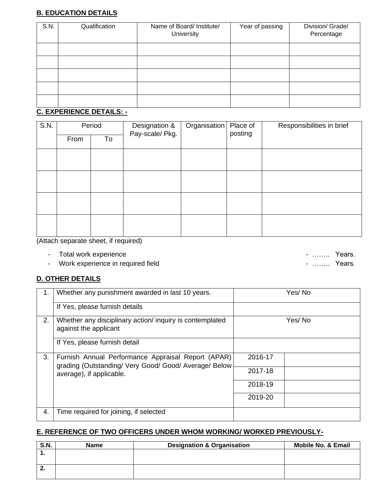## **B. EDUCATION DETAILS**

| S.N. | Qualification | Name of Board/ Institute/<br>University | Year of passing | Division/ Grade/<br>Percentage |
|------|---------------|-----------------------------------------|-----------------|--------------------------------|
|      |               |                                         |                 |                                |
|      |               |                                         |                 |                                |
|      |               |                                         |                 |                                |
|      |               |                                         |                 |                                |
|      |               |                                         |                 |                                |

#### **C. EXPERIENCE DETAILS: -**

| S.N. | Period     |  | Designation &<br>Pay-scale/ Pkg. | Organisation | Place of<br>posting | Responsibilities in brief |  |
|------|------------|--|----------------------------------|--------------|---------------------|---------------------------|--|
|      | From<br>To |  |                                  |              |                     |                           |  |
|      |            |  |                                  |              |                     |                           |  |
|      |            |  |                                  |              |                     |                           |  |
|      |            |  |                                  |              |                     |                           |  |
|      |            |  |                                  |              |                     |                           |  |
|      |            |  |                                  |              |                     |                           |  |

(Attach separate sheet, if required)

- 
- Total work experience …….. Years.<br>- Work experience in required field …….. Years. . . . . . . . . . . . . . . Years. - Work experience in required field

## **D. OTHER DETAILS**

| 1. | Whether any punishment awarded in last 10 years.                                                                                        | Yes/No  |  |  |  |
|----|-----------------------------------------------------------------------------------------------------------------------------------------|---------|--|--|--|
|    | If Yes, please furnish details                                                                                                          |         |  |  |  |
| 2. | Whether any disciplinary action/ inquiry is contemplated<br>against the applicant                                                       | Yes/No  |  |  |  |
|    | If Yes, please furnish detail                                                                                                           |         |  |  |  |
| 3. | Furnish Annual Performance Appraisal Report (APAR)<br>grading (Outstanding/ Very Good/ Good/ Average/ Below<br>average), if applicable. | 2016-17 |  |  |  |
|    |                                                                                                                                         | 2017-18 |  |  |  |
|    |                                                                                                                                         | 2018-19 |  |  |  |
|    |                                                                                                                                         | 2019-20 |  |  |  |
| 4. | Time required for joining, if selected                                                                                                  |         |  |  |  |

#### **E. REFERENCE OF TWO OFFICERS UNDER WHOM WORKING/ WORKED PREVIOUSLY-**

| <b>S.N.</b> | <b>Name</b> | <b>Designation &amp; Organisation</b> | <b>Mobile No. &amp; Email</b> |
|-------------|-------------|---------------------------------------|-------------------------------|
|             |             |                                       |                               |
|             |             |                                       |                               |
|             |             |                                       |                               |
|             |             |                                       |                               |